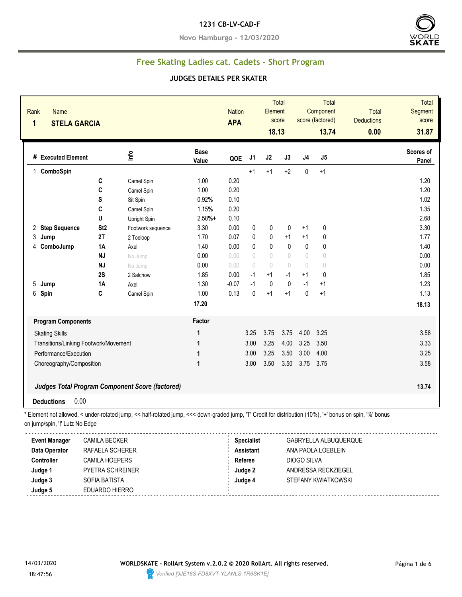#### **1231 CB-LV-CAD-F**

**Novo Hamburgo - 12/03/2020**



# **Free Skating Ladies cat. Cadets - Short Program**

#### **JUDGES DETAILS PER SKATER**

| <b>Base</b><br>Info<br># Executed Element<br>J <sub>1</sub><br>J2<br>J3<br>J4<br>J5<br>QOE<br>Value<br>$+2$<br>$+1$<br>1 ComboSpin<br>$+1$<br>$+1$<br>0<br>C<br>1.00<br>0.20<br>Camel Spin<br>C<br>0.20<br>1.00<br>Camel Spin<br>S<br>0.92%<br>0.10<br>Sit Spin<br>C<br>0.20<br>Camel Spin<br>1.15%<br>U<br>$2.58%+$<br>0.10<br>Upright Spin<br>2 Step Sequence<br>St <sub>2</sub><br>3.30<br>0.00<br>0<br>0<br>0<br>0<br>$+1$<br>Footwork sequence<br>2T<br>0.07<br>0<br>$+1$<br>$\mathbf{0}$<br>3 Jump<br>1.70<br>0<br>$+1$<br>2 Toeloop<br>$\pmb{0}$<br>$\pmb{0}$<br>$\mathbf{0}$<br>$\pmb{0}$<br>ComboJump<br>1A<br>1.40<br>0.00<br>0<br>Axel<br>4<br>$\sqrt{ }$<br><b>NJ</b><br>0.00<br>$\sqrt{ }$<br>$\begin{array}{c} \n\end{array}$<br>$\begin{array}{c} \n\end{array}$<br>0.00<br>$\circ$<br>No Jump<br><b>NJ</b><br>0.00<br>0.00<br>$\sqrt{ }$<br>$\theta$<br>$\begin{array}{c} \n\end{array}$<br>$\begin{array}{c} \n\end{array}$<br>$\begin{matrix} 0 \end{matrix}$<br>No Jump<br>0.00<br>2S<br>1.85<br>$-1$<br>$+1$<br>$-1$<br>$+1$<br>0<br>2 Salchow<br>$-0.07$<br>$-1$<br>$\mathbf{0}$<br>$\mathbf{0}$<br><b>1A</b><br>1.30<br>$-1$<br>$+1$<br>5 Jump<br>Axel<br>0.13<br>0<br>$+1$<br>$\mathbf{0}$<br>6 Spin<br>C<br>1.00<br>$+1$<br>$+1$<br>Camel Spin<br>17.20 |                           |
|---------------------------------------------------------------------------------------------------------------------------------------------------------------------------------------------------------------------------------------------------------------------------------------------------------------------------------------------------------------------------------------------------------------------------------------------------------------------------------------------------------------------------------------------------------------------------------------------------------------------------------------------------------------------------------------------------------------------------------------------------------------------------------------------------------------------------------------------------------------------------------------------------------------------------------------------------------------------------------------------------------------------------------------------------------------------------------------------------------------------------------------------------------------------------------------------------------------------------------------------------------------------------------|---------------------------|
|                                                                                                                                                                                                                                                                                                                                                                                                                                                                                                                                                                                                                                                                                                                                                                                                                                                                                                                                                                                                                                                                                                                                                                                                                                                                                 | <b>Scores of</b><br>Panel |
|                                                                                                                                                                                                                                                                                                                                                                                                                                                                                                                                                                                                                                                                                                                                                                                                                                                                                                                                                                                                                                                                                                                                                                                                                                                                                 |                           |
|                                                                                                                                                                                                                                                                                                                                                                                                                                                                                                                                                                                                                                                                                                                                                                                                                                                                                                                                                                                                                                                                                                                                                                                                                                                                                 | 1.20                      |
|                                                                                                                                                                                                                                                                                                                                                                                                                                                                                                                                                                                                                                                                                                                                                                                                                                                                                                                                                                                                                                                                                                                                                                                                                                                                                 | 1.20                      |
|                                                                                                                                                                                                                                                                                                                                                                                                                                                                                                                                                                                                                                                                                                                                                                                                                                                                                                                                                                                                                                                                                                                                                                                                                                                                                 | 1.02                      |
|                                                                                                                                                                                                                                                                                                                                                                                                                                                                                                                                                                                                                                                                                                                                                                                                                                                                                                                                                                                                                                                                                                                                                                                                                                                                                 | 1.35                      |
|                                                                                                                                                                                                                                                                                                                                                                                                                                                                                                                                                                                                                                                                                                                                                                                                                                                                                                                                                                                                                                                                                                                                                                                                                                                                                 | 2.68                      |
|                                                                                                                                                                                                                                                                                                                                                                                                                                                                                                                                                                                                                                                                                                                                                                                                                                                                                                                                                                                                                                                                                                                                                                                                                                                                                 | 3.30                      |
|                                                                                                                                                                                                                                                                                                                                                                                                                                                                                                                                                                                                                                                                                                                                                                                                                                                                                                                                                                                                                                                                                                                                                                                                                                                                                 | 1.77                      |
|                                                                                                                                                                                                                                                                                                                                                                                                                                                                                                                                                                                                                                                                                                                                                                                                                                                                                                                                                                                                                                                                                                                                                                                                                                                                                 | 1.40                      |
|                                                                                                                                                                                                                                                                                                                                                                                                                                                                                                                                                                                                                                                                                                                                                                                                                                                                                                                                                                                                                                                                                                                                                                                                                                                                                 | 0.00                      |
|                                                                                                                                                                                                                                                                                                                                                                                                                                                                                                                                                                                                                                                                                                                                                                                                                                                                                                                                                                                                                                                                                                                                                                                                                                                                                 | 0.00                      |
|                                                                                                                                                                                                                                                                                                                                                                                                                                                                                                                                                                                                                                                                                                                                                                                                                                                                                                                                                                                                                                                                                                                                                                                                                                                                                 | 1.85                      |
|                                                                                                                                                                                                                                                                                                                                                                                                                                                                                                                                                                                                                                                                                                                                                                                                                                                                                                                                                                                                                                                                                                                                                                                                                                                                                 | 1.23                      |
|                                                                                                                                                                                                                                                                                                                                                                                                                                                                                                                                                                                                                                                                                                                                                                                                                                                                                                                                                                                                                                                                                                                                                                                                                                                                                 | 1.13                      |
|                                                                                                                                                                                                                                                                                                                                                                                                                                                                                                                                                                                                                                                                                                                                                                                                                                                                                                                                                                                                                                                                                                                                                                                                                                                                                 | 18.13                     |
| Factor<br><b>Program Components</b>                                                                                                                                                                                                                                                                                                                                                                                                                                                                                                                                                                                                                                                                                                                                                                                                                                                                                                                                                                                                                                                                                                                                                                                                                                             |                           |
| 3.25<br>3.75<br>3.75<br>4.00<br>3.25<br><b>Skating Skills</b><br>1                                                                                                                                                                                                                                                                                                                                                                                                                                                                                                                                                                                                                                                                                                                                                                                                                                                                                                                                                                                                                                                                                                                                                                                                              | 3.58                      |
| 3.25<br>3.00<br>4.00<br>3.25<br>3.50<br>Transitions/Linking Footwork/Movement<br>1                                                                                                                                                                                                                                                                                                                                                                                                                                                                                                                                                                                                                                                                                                                                                                                                                                                                                                                                                                                                                                                                                                                                                                                              | 3.33                      |
| 3.00<br>3.25<br>3.50<br>3.00<br>4.00<br>Performance/Execution<br>1                                                                                                                                                                                                                                                                                                                                                                                                                                                                                                                                                                                                                                                                                                                                                                                                                                                                                                                                                                                                                                                                                                                                                                                                              | 3.25                      |
| 3.00<br>3.50<br>3.50<br>3.75 3.75<br>Choreography/Composition<br>1                                                                                                                                                                                                                                                                                                                                                                                                                                                                                                                                                                                                                                                                                                                                                                                                                                                                                                                                                                                                                                                                                                                                                                                                              | 3.58                      |
| <b>Judges Total Program Component Score (factored)</b>                                                                                                                                                                                                                                                                                                                                                                                                                                                                                                                                                                                                                                                                                                                                                                                                                                                                                                                                                                                                                                                                                                                                                                                                                          | 13.74                     |
| 0.00<br><b>Deductions</b>                                                                                                                                                                                                                                                                                                                                                                                                                                                                                                                                                                                                                                                                                                                                                                                                                                                                                                                                                                                                                                                                                                                                                                                                                                                       |                           |
| * Element not allowed, < under-rotated jump, << half-rotated jump, <<< down-graded jump, 'T' Credit for distribution (10%), '+' bonus on spin, '%' bonus<br>on jump/spin, "!' Lutz No Edge<br><b>Event Manager</b><br><b>Specialist</b><br><b>CAMILA BECKER</b><br>GABRYELLA ALBUQUERQUE                                                                                                                                                                                                                                                                                                                                                                                                                                                                                                                                                                                                                                                                                                                                                                                                                                                                                                                                                                                        |                           |
| Data Operator<br><b>Assistant</b><br>RAFAELA SCHERER<br>ANA PAOLA LOEBLEIN<br><b>DIOGO SILVA</b><br><b>Controller</b><br><b>CAMILA HOEPERS</b><br><b>Referee</b>                                                                                                                                                                                                                                                                                                                                                                                                                                                                                                                                                                                                                                                                                                                                                                                                                                                                                                                                                                                                                                                                                                                |                           |

**Judge 3** SOFIA BATISTA **Judge 4** STEFANY KWIATKOWSKI **Judge 5** EDUARDO HIERRO 



**Judge 1** PYETRA SCHREINER **Judge 2** ANDRESSA RECKZIEGEL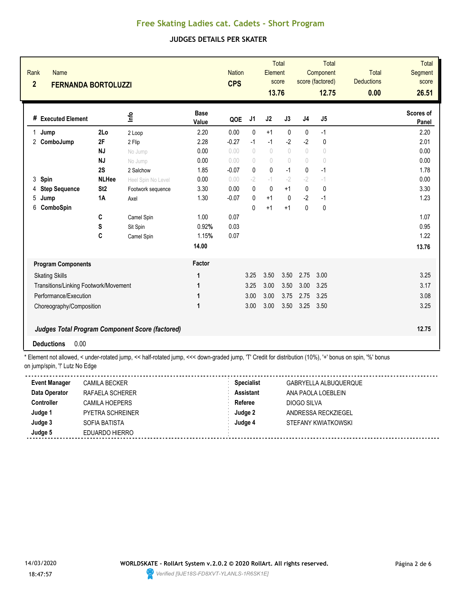### **JUDGES DETAILS PER SKATER**

| Rank<br><b>Name</b><br>$\overline{2}$<br><b>FERNANDA BORTOLUZZI</b> |                 |                                                        |                      | <b>Nation</b><br><b>CPS</b> |              | Element<br>13.76                 | <b>Total</b><br>score |              | <b>Total</b><br>Component<br>score (factored)<br>12.75 | <b>Total</b><br><b>Deductions</b><br>0.00 | <b>Total</b><br>Segment<br>score<br>26.51 |
|---------------------------------------------------------------------|-----------------|--------------------------------------------------------|----------------------|-----------------------------|--------------|----------------------------------|-----------------------|--------------|--------------------------------------------------------|-------------------------------------------|-------------------------------------------|
| # Executed Element                                                  |                 | Info                                                   | <b>Base</b><br>Value | QOE                         | J1           | J2                               | J3                    | J4           | J5                                                     |                                           | Scores of<br>Panel                        |
| Jump<br>1                                                           | 2Lo             | 2 Loop                                                 | 2.20                 | 0.00                        | $\mathbf{0}$ | $+1$                             | $\mathbf{0}$          | $\mathbf{0}$ | $-1$                                                   |                                           | 2.20                                      |
| $\overline{c}$<br>ComboJump                                         | 2F              | 2 Flip                                                 | 2.28                 | $-0.27$                     | $-1$         | $-1$                             | $-2$                  | $-2$         | $\pmb{0}$                                              |                                           | 2.01                                      |
|                                                                     | <b>NJ</b>       | No Jump                                                | 0.00                 | 0.00                        | $\bigcap$    | $\begin{array}{c} \n\end{array}$ | $\bigcap$             | $\sqrt{ }$   | $\begin{array}{c} \n\end{array}$                       |                                           | 0.00                                      |
|                                                                     | <b>NJ</b>       | No Jump                                                | 0.00                 | 0.00                        | $\bigcap$    | $\sqrt{2}$                       | $\bigcap$             | $\bigcap$    | $\sqrt{ }$                                             |                                           | 0.00                                      |
|                                                                     | 2S              | 2 Salchow                                              | 1.85                 | $-0.07$                     | 0            | 0                                | $-1$                  | 0            | $-1$                                                   |                                           | 1.78                                      |
| 3<br>Spin                                                           | <b>NLHee</b>    | Heel Spin No Level                                     | 0.00                 | 0.00                        | $-2$         | $-1$                             | $-2$                  | $-2$         | $-1$                                                   |                                           | 0.00                                      |
| <b>Step Sequence</b><br>4                                           | St <sub>2</sub> | Footwork sequence                                      | 3.30                 | 0.00                        | 0            | $\mathbf{0}$                     | $+1$                  | 0            | $\mathbf{0}$                                           |                                           | 3.30                                      |
| 5<br>Jump                                                           | 1A              | Axel                                                   | 1.30                 | $-0.07$                     | 0            | $+1$                             | $\mathbf{0}$          | $-2$         | $-1$                                                   |                                           | 1.23                                      |
| 6<br>ComboSpin                                                      |                 |                                                        |                      |                             | $\Omega$     | $+1$                             | $+1$                  | $\mathbf{0}$ | 0                                                      |                                           |                                           |
|                                                                     | C               | Camel Spin                                             | 1.00                 | 0.07                        |              |                                  |                       |              |                                                        |                                           | 1.07                                      |
|                                                                     | S               | Sit Spin                                               | 0.92%                | 0.03                        |              |                                  |                       |              |                                                        |                                           | 0.95                                      |
|                                                                     | C               | Camel Spin                                             | 1.15%                | 0.07                        |              |                                  |                       |              |                                                        |                                           | 1.22                                      |
|                                                                     |                 |                                                        | 14.00                |                             |              |                                  |                       |              |                                                        |                                           | 13.76                                     |
| <b>Program Components</b>                                           |                 |                                                        | Factor               |                             |              |                                  |                       |              |                                                        |                                           |                                           |
| <b>Skating Skills</b>                                               |                 |                                                        | 1                    |                             | 3.25         | 3.50                             | 3.50                  | 2.75         | 3.00                                                   |                                           | 3.25                                      |
| Transitions/Linking Footwork/Movement                               |                 |                                                        | 1                    |                             | 3.25         | 3.00                             | 3.50                  | 3.00         | 3.25                                                   |                                           | 3.17                                      |
| Performance/Execution                                               |                 |                                                        | 1                    |                             | 3.00         | 3.00                             | 3.75                  | 2.75         | 3.25                                                   |                                           | 3.08                                      |
| Choreography/Composition                                            |                 |                                                        | 1                    |                             | 3.00         | 3.00                             | 3.50                  | 3.25         | 3.50                                                   |                                           | 3.25                                      |
|                                                                     |                 | <b>Judges Total Program Component Score (factored)</b> |                      |                             |              |                                  |                       |              |                                                        |                                           | 12.75                                     |
| 0.00<br><b>Deductions</b>                                           |                 |                                                        |                      |                             |              |                                  |                       |              |                                                        |                                           |                                           |

\* Element not allowed, < under-rotated jump, << half-rotated jump, <<< down-graded jump, 'T' Credit for distribution (10%), '+' bonus on spin, '%' bonus on jump/spin, '!' Lutz No Edge

| <b>Event Manager</b> | CAMILA BECKER           | <b>Specialist</b> | GABRYELLA ALBUQUERQUE |
|----------------------|-------------------------|-------------------|-----------------------|
| Data Operator        | RAFAELA SCHERER         | <b>Assistant</b>  | ANA PAOLA LOEBLEIN    |
| Controller           | CAMILA HOEPERS          | Referee           | DIOGO SILVA           |
| Judge 1              | <b>PYETRA SCHREINER</b> | Judge 2           | ANDRESSA RECKZIEGEL   |
| Judge 3              | SOFIA BATISTA           | Judge 4           | STEFANY KWIATKOWSKI   |
| Judge 5              | EDUARDO HIERRO          |                   |                       |

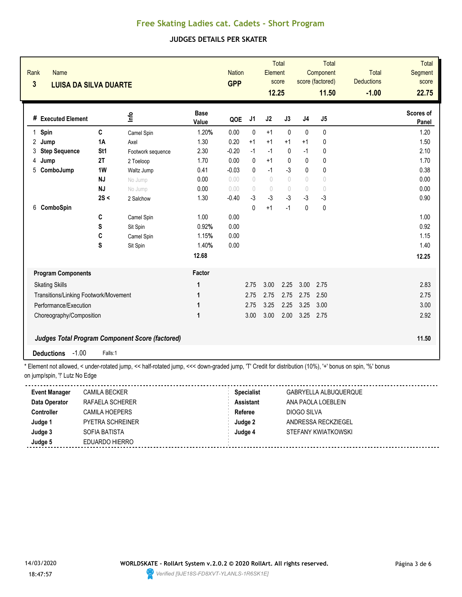### **JUDGES DETAILS PER SKATER**

| Rank<br><b>Name</b><br>$\overline{\mathbf{3}}$<br><b>LUISA DA SILVA DUARTE</b>                                                                                                            |                 |                   |                      | <b>Nation</b><br><b>GPP</b> |                 | Element<br>12.25                 | <b>Total</b><br>score            |              | <b>Total</b><br>Component<br>score (factored)<br>11.50 | Total<br><b>Deductions</b><br>$-1.00$ | <b>Total</b><br>Segment<br>score<br>22.75 |
|-------------------------------------------------------------------------------------------------------------------------------------------------------------------------------------------|-----------------|-------------------|----------------------|-----------------------------|-----------------|----------------------------------|----------------------------------|--------------|--------------------------------------------------------|---------------------------------------|-------------------------------------------|
| # Executed Element                                                                                                                                                                        |                 | <u>lafo</u>       | <b>Base</b><br>Value | QOE                         | J1              | J2                               | J3                               | J4           | J5                                                     |                                       | Scores of<br>Panel                        |
| Spin<br>1                                                                                                                                                                                 | $\mathbf C$     | Camel Spin        | 1.20%                | 0.00                        | 0               | $+1$                             | $\mathbf 0$                      | 0            | $\pmb{0}$                                              |                                       | 1.20                                      |
| 2<br>Jump                                                                                                                                                                                 | <b>1A</b>       | Axel              | 1.30                 | 0.20                        | $+1$            | $+1$                             | $+1$                             | $+1$         | 0                                                      |                                       | 1.50                                      |
| 3<br><b>Step Sequence</b>                                                                                                                                                                 | St <sub>1</sub> | Footwork sequence | 2.30                 | $-0.20$                     | $-1$            | $-1$                             | 0                                | $-1$         | 0                                                      |                                       | 2.10                                      |
| Jump<br>4                                                                                                                                                                                 | 2T              | 2 Toeloop         | 1.70                 | 0.00                        | $\mathbf{0}$    | $+1$                             | $\mathbf{0}$                     | 0            | 0                                                      |                                       | 1.70                                      |
| 5<br>ComboJump                                                                                                                                                                            | 1W              | Waltz Jump        | 0.41                 | $-0.03$                     | 0               | $-1$                             | -3                               | 0            | 0                                                      |                                       | 0.38                                      |
|                                                                                                                                                                                           | <b>NJ</b>       | No Jump           | 0.00                 | 0.00                        | $\left(\right)$ | $\sqrt{ }$                       | $\sqrt{ }$                       | 0            | $\sqrt{ }$                                             |                                       | 0.00                                      |
|                                                                                                                                                                                           | <b>NJ</b>       | No Jump           | 0.00                 | 0.00                        | $\left(\right)$ | $\begin{array}{c} \n\end{array}$ | $\begin{array}{c} \n\end{array}$ | 0            | $\bigcirc$                                             |                                       | 0.00                                      |
|                                                                                                                                                                                           | 2S <            | 2 Salchow         | 1.30                 | $-0.40$                     | $-3$            | $-3$                             | $-3$                             | $-3$         | $-3$                                                   |                                       | 0.90                                      |
| ComboSpin<br>6                                                                                                                                                                            |                 |                   |                      |                             | $\Omega$        | $+1$                             | $-1$                             | $\mathbf{0}$ | $\pmb{0}$                                              |                                       |                                           |
|                                                                                                                                                                                           | C               | Camel Spin        | 1.00                 | 0.00                        |                 |                                  |                                  |              |                                                        |                                       | 1.00                                      |
|                                                                                                                                                                                           | S               | Sit Spin          | 0.92%                | 0.00                        |                 |                                  |                                  |              |                                                        |                                       | 0.92                                      |
|                                                                                                                                                                                           | C               | Camel Spin        | 1.15%                | 0.00                        |                 |                                  |                                  |              |                                                        |                                       | 1.15                                      |
|                                                                                                                                                                                           | S               | Sit Spin          | 1.40%                | 0.00                        |                 |                                  |                                  |              |                                                        |                                       | 1.40                                      |
|                                                                                                                                                                                           |                 |                   | 12.68                |                             |                 |                                  |                                  |              |                                                        |                                       | 12.25                                     |
| <b>Program Components</b>                                                                                                                                                                 |                 |                   | Factor               |                             |                 |                                  |                                  |              |                                                        |                                       |                                           |
| <b>Skating Skills</b>                                                                                                                                                                     |                 |                   | 1                    |                             | 2.75            | 3.00                             | 2.25                             | 3.00         | 2.75                                                   |                                       | 2.83                                      |
| Transitions/Linking Footwork/Movement                                                                                                                                                     |                 |                   | 1                    |                             | 2.75            | 2.75                             | 2.75                             | 2.75         | 2.50                                                   |                                       | 2.75                                      |
| Performance/Execution                                                                                                                                                                     |                 |                   | 1                    |                             | 2.75            | 3.25                             | 2.25                             | 3.25         | 3.00                                                   |                                       | 3.00                                      |
| Choreography/Composition                                                                                                                                                                  |                 |                   | 1                    |                             | 3.00            | 3.00                             | 2.00                             | 3.25         | 2.75                                                   |                                       | 2.92                                      |
| <b>Judges Total Program Component Score (factored)</b>                                                                                                                                    |                 |                   |                      |                             |                 |                                  |                                  |              |                                                        |                                       | 11.50                                     |
| $-1.00$<br><b>Deductions</b>                                                                                                                                                              | Falls:1         |                   |                      |                             |                 |                                  |                                  |              |                                                        |                                       |                                           |
| * Element not allowed, < under-rotated jump, << half-rotated jump, <<< down-graded jump, 'T' Credit for distribution (10%), '+' bonus on spin, '%' bonus<br>on jump/spin, "! Lutz No Edge |                 |                   |                      |                             |                 |                                  |                                  |              |                                                        |                                       |                                           |

**Event Manager** CAMILA BECKER **Specialist** GABRYELLA ALBUQUERQUE **Data Operator** RAFAELA SCHERER **Assistant** ANA PAOLA LOEBLEIN **Controller** CAMILA HOEPERS **Referee** DIOGO SILVA **Judge 1** PYETRA SCHREINER **Judge 2** ANDRESSA RECKZIEGEL **Judge 3** SOFIA BATISTA **Judge 4** STEFANY KWIATKOWSKI **Judge 5** EDUARDO HIERRO 

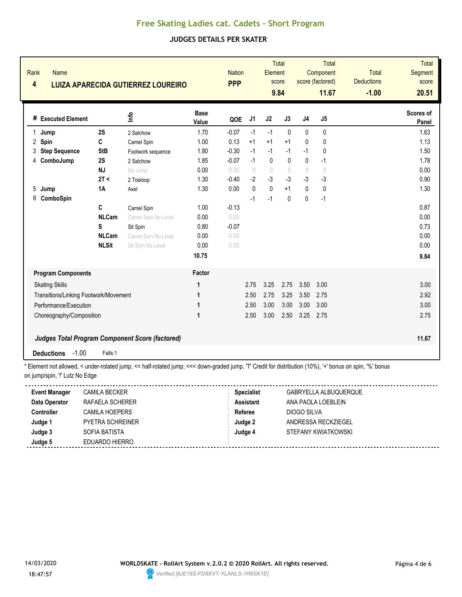### **JUDGES DETAILS PER SKATER**

| Rank<br>Name<br>$\overline{\mathbf{4}}$                                                                                                                  |              | <b>LUIZA APARECIDA GUTIERREZ LOUREIRO</b>       |                      | <b>Nation</b><br><b>PPP</b> |                | Element      | Total<br>score<br>9.84 |                                  | <b>Total</b><br>Component<br>score (factored)<br>11.67 | <b>Total</b><br><b>Deductions</b><br>$-1.00$ | <b>Total</b><br>Segment<br>score<br>20.51 |
|----------------------------------------------------------------------------------------------------------------------------------------------------------|--------------|-------------------------------------------------|----------------------|-----------------------------|----------------|--------------|------------------------|----------------------------------|--------------------------------------------------------|----------------------------------------------|-------------------------------------------|
| # Executed Element                                                                                                                                       |              | lnfo                                            | <b>Base</b><br>Value | QOE                         | J <sub>1</sub> | J2           | J3                     | J <sub>4</sub>                   | J <sub>5</sub>                                         |                                              | Scores of<br>Panel                        |
| Jump<br>1                                                                                                                                                | 2S           | 2 Salchow                                       | 1.70                 | $-0.07$                     | $-1$           | $-1$         | $\mathbf{0}$           | $\mathbf{0}$                     | 0                                                      |                                              | 1.63                                      |
| 2 Spin                                                                                                                                                   | C            | Camel Spin                                      | 1.00                 | 0.13                        | $+1$           | $+1$         | $+1$                   | 0                                | $\mathbf 0$                                            |                                              | 1.13                                      |
| <b>Step Sequence</b><br>3                                                                                                                                | <b>StB</b>   | Footwork sequence                               | 1.80                 | $-0.30$                     | $-1$           | $-1$         | $-1$                   | $-1$                             | 0                                                      |                                              | 1.50                                      |
| ComboJump<br>4                                                                                                                                           | 2S           | 2 Salchow                                       | 1.85                 | $-0.07$                     | $-1$           | 0            | $\pmb{0}$              | 0                                | $-1$                                                   |                                              | 1.78                                      |
|                                                                                                                                                          | <b>NJ</b>    | No Jump                                         | 0.00                 | 0.00                        | $\theta$       | $\theta$     | $\theta$               | $\begin{array}{c} \n\end{array}$ | $\sqrt{ }$                                             |                                              | 0.00                                      |
|                                                                                                                                                          | 2T <         | 2 Toeloop                                       | 1.30                 | $-0.40$                     | $-2$           | $-3$         | $-3$                   | $-3$                             | $-3$                                                   |                                              | 0.90                                      |
| 5<br>Jump                                                                                                                                                | 1A           | Axel                                            | 1.30                 | 0.00                        | $\mathbf{0}$   | $\mathbf{0}$ | $+1$                   | $\Omega$                         | $\mathbf{0}$                                           |                                              | 1.30                                      |
| 6<br>ComboSpin                                                                                                                                           |              |                                                 |                      |                             | $-1$           | $-1$         | $\mathbf{0}$           | 0                                | $-1$                                                   |                                              |                                           |
|                                                                                                                                                          | C            | Camel Spin                                      | 1.00                 | $-0.13$                     |                |              |                        |                                  |                                                        |                                              | 0.87                                      |
|                                                                                                                                                          | <b>NLCam</b> | Camel Spin No Level                             | 0.00                 | 0.00                        |                |              |                        |                                  |                                                        |                                              | 0.00                                      |
|                                                                                                                                                          | S            | Sit Spin                                        | 0.80                 | $-0.07$                     |                |              |                        |                                  |                                                        |                                              | 0.73                                      |
|                                                                                                                                                          | <b>NLCam</b> | Camel Spin No Level                             | 0.00                 | 0.00                        |                |              |                        |                                  |                                                        |                                              | 0.00                                      |
|                                                                                                                                                          | <b>NLSit</b> | Sit Spin No Level                               | 0.00                 | 0.00                        |                |              |                        |                                  |                                                        |                                              | 0.00                                      |
|                                                                                                                                                          |              |                                                 | 10.75                |                             |                |              |                        |                                  |                                                        |                                              | 9.84                                      |
| <b>Program Components</b>                                                                                                                                |              |                                                 | Factor               |                             |                |              |                        |                                  |                                                        |                                              |                                           |
| <b>Skating Skills</b>                                                                                                                                    |              |                                                 | 1                    |                             | 2.75           | 3.25         | 2.75                   | 3.50                             | 3.00                                                   |                                              | 3.00                                      |
| Transitions/Linking Footwork/Movement                                                                                                                    |              |                                                 | 1                    |                             | 2.50           | 2.75         | 3.25                   | 3.50                             | 2.75                                                   |                                              | 2.92                                      |
| Performance/Execution                                                                                                                                    |              |                                                 | 1                    |                             | 2.50           | 3.00         | 3.00                   | 3.00                             | 3.00                                                   |                                              | 3.00                                      |
| Choreography/Composition                                                                                                                                 |              |                                                 | 1                    |                             | 2.50           | 3.00         | 2.50                   | 3.25                             | 2.75                                                   |                                              | 2.75                                      |
|                                                                                                                                                          |              |                                                 |                      |                             |                |              |                        |                                  |                                                        |                                              |                                           |
|                                                                                                                                                          |              | Judges Total Program Component Score (factored) |                      |                             |                |              |                        |                                  |                                                        |                                              | 11.67                                     |
| $-1.00$<br><b>Deductions</b>                                                                                                                             | Falls:1      |                                                 |                      |                             |                |              |                        |                                  |                                                        |                                              |                                           |
| * Element not allowed, < under-rotated jump, << half-rotated jump, <<< down-graded jump, 'T' Credit for distribution (10%), '+' bonus on spin, '%' bonus |              |                                                 |                      |                             |                |              |                        |                                  |                                                        |                                              |                                           |

on jump/spin, "!' Lutz No Edge

| <b>Event Manager</b> | <b>CAMILA BECKER</b>    | <b>Specialist</b> | GABRYELLA ALBUQUERQUE |  |
|----------------------|-------------------------|-------------------|-----------------------|--|
| Data Operator        | RAFAELA SCHERER         | <b>Assistant</b>  | ANA PAOLA LOEBLEIN    |  |
| Controller           | CAMILA HOEPERS          | Referee           | DIOGO SILVA           |  |
| Judge 1              | <b>PYETRA SCHREINER</b> | Judge 2           | ANDRESSA RECKZIEGEL   |  |
| Judge 3              | SOFIA BATISTA           | Judge 4           | STEFANY KWIATKOWSKI   |  |
| Judge 5              | EDUARDO HIERRO          |                   |                       |  |
|                      |                         |                   |                       |  |

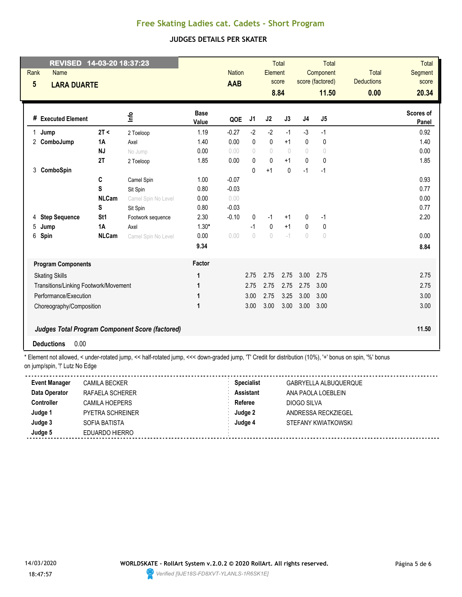### **JUDGES DETAILS PER SKATER**

| 14-03-20 18:37:23<br><b>REVISED</b><br>Rank<br><b>Name</b> |                     |                      | <b>Nation</b> |                                  | Element      | <b>Total</b><br>score |                                  | Total<br>Component<br>score (factored) | <b>Total</b><br><b>Deductions</b> | <b>Total</b><br><b>Segment</b><br>score |
|------------------------------------------------------------|---------------------|----------------------|---------------|----------------------------------|--------------|-----------------------|----------------------------------|----------------------------------------|-----------------------------------|-----------------------------------------|
| $5\phantom{.0}$<br><b>LARA DUARTE</b>                      |                     |                      | <b>AAB</b>    |                                  |              | 8.84                  |                                  | 11.50                                  | 0.00                              | 20.34                                   |
| # Executed Element                                         | ۴ů                  | <b>Base</b><br>Value | QOE           | J <sub>1</sub>                   | J2           | J3                    | J4                               | J <sub>5</sub>                         |                                   | Scores of<br>Panel                      |
| 2T <<br>$\mathbf{1}$<br>Jump                               | 2 Toeloop           | 1.19                 | $-0.27$       | $-2$                             | $-2$         | $-1$                  | $-3$                             | $-1$                                   |                                   | 0.92                                    |
| 2<br>ComboJump<br>1A                                       | Axel                | 1.40                 | 0.00          | $\mathbf{0}$                     | $\mathbf 0$  | $+1$                  | $\mathbf{0}$                     | $\mathbf{0}$                           |                                   | 1.40                                    |
| <b>NJ</b>                                                  | No Jump             | 0.00                 | 0.00          | $\circ$                          | $\sqrt{ }$   | $\sqrt{ }$            | 0                                | $\circ$                                |                                   | 0.00                                    |
| 2T                                                         | 2 Toeloop           | 1.85                 | 0.00          | $\mathbf{0}$                     | $\mathbf 0$  | $+1$                  | $\mathbf{0}$                     | $\pmb{0}$                              |                                   | 1.85                                    |
| ComboSpin<br>3                                             |                     |                      |               | $\mathbf{0}$                     | $+1$         | $\mathbf{0}$          | $-1$                             | $-1$                                   |                                   |                                         |
| C                                                          | Camel Spin          | 1.00                 | $-0.07$       |                                  |              |                       |                                  |                                        |                                   | 0.93                                    |
| S                                                          | Sit Spin            | 0.80                 | $-0.03$       |                                  |              |                       |                                  |                                        |                                   | 0.77                                    |
| <b>NLCam</b>                                               | Camel Spin No Level | 0.00                 | 0.00          |                                  |              |                       |                                  |                                        |                                   | 0.00                                    |
| S                                                          | Sit Spin            | 0.80                 | $-0.03$       |                                  |              |                       |                                  |                                        |                                   | 0.77                                    |
| <b>Step Sequence</b><br>St <sub>1</sub><br>4               | Footwork sequence   | 2.30                 | $-0.10$       | 0                                | $-1$         | $+1$                  | 0                                | $-1$                                   |                                   | 2.20                                    |
| 5<br>1A<br>Jump                                            | Axel                | $1.30*$              |               | $-1$                             | $\mathbf{0}$ | $+1$                  | $\mathbf{0}$                     | 0                                      |                                   |                                         |
| 6<br>Spin<br><b>NLCam</b>                                  | Camel Spin No Level | 0.00                 | 0.00          | $\begin{array}{c} \n\end{array}$ | $\bigcirc$   | $-1$                  | $\begin{array}{c} \n\end{array}$ | $\begin{array}{c} \n\end{array}$       |                                   | 0.00                                    |
|                                                            |                     | 9.34                 |               |                                  |              |                       |                                  |                                        |                                   | 8.84                                    |
| <b>Program Components</b>                                  |                     | Factor               |               |                                  |              |                       |                                  |                                        |                                   |                                         |
| <b>Skating Skills</b>                                      |                     | 1                    |               | 2.75                             | 2.75         | 2.75                  | 3.00                             | 2.75                                   |                                   | 2.75                                    |
| Transitions/Linking Footwork/Movement                      |                     | 1                    |               | 2.75                             | 2.75         | 2.75                  | 2.75                             | 3.00                                   |                                   | 2.75                                    |
| Performance/Execution                                      |                     | 1                    |               | 3.00                             | 2.75         | 3.25                  | 3.00                             | 3.00                                   |                                   | 3.00                                    |
| Choreography/Composition                                   |                     | 1                    |               | 3.00                             | 3.00         | 3.00                  | 3.00                             | 3.00                                   |                                   | 3.00                                    |
| <b>Judges Total Program Component Score (factored)</b>     |                     |                      |               |                                  |              |                       |                                  |                                        |                                   | 11.50                                   |
| 0.00<br><b>Deductions</b>                                  |                     |                      |               |                                  |              |                       |                                  |                                        |                                   |                                         |

\* Element not allowed, < under-rotated jump, << half-rotated jump, <<< down-graded jump, 'T' Credit for distribution (10%), '+' bonus on spin, '%' bonus on jump/spin, '!' Lutz No Edge

| <b>Event Manager</b> | CAMILA BECKER           | <b>Specialist</b> | GABRYELLA ALBUQUERQUE |
|----------------------|-------------------------|-------------------|-----------------------|
| Data Operator        | RAFAELA SCHERER         | <b>Assistant</b>  | ANA PAOLA LOEBLEIN    |
| Controller           | CAMILA HOEPERS          | Referee           | DIOGO SILVA           |
| Judge 1              | <b>PYETRA SCHREINER</b> | Judge 2           | ANDRESSA RECKZIEGEL   |
| Judge 3              | SOFIA BATISTA           | Judge 4           | STEFANY KWIATKOWSKI   |
| Judge 5              | EDUARDO HIERRO          |                   |                       |